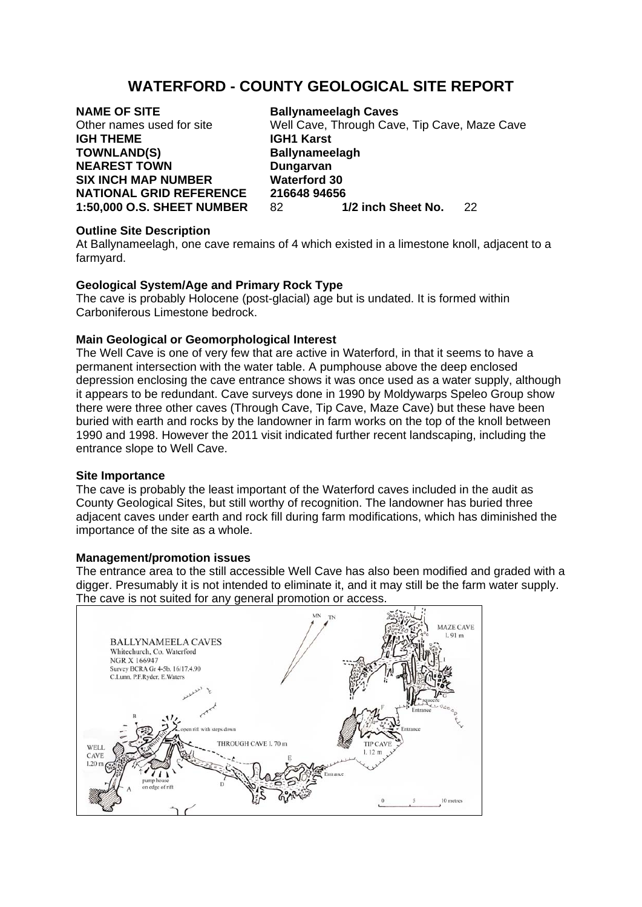# **WATERFORD - COUNTY GEOLOGICAL SITE REPORT**

**IGH THEME IGH1 Karst TOWNLAND(S)** Ballynameelagh **NEAREST TOWN Dungarvan SIX INCH MAP NUMBER Waterford 30** 

**NAME OF SITE Ballynameelagh Caves** Other names used for site Well Cave, Through Cave, Tip Cave, Maze Cave **NATIONAL GRID REFERENCE 216648 94656**<br>1:50,000 O.S. SHEET NUMBER 82 1/2 inch Sheet No. **1:50,000 O.S. SHEET NUMBER** 82 **1/2 inch Sheet No.** 22

## **Outline Site Description**

At Ballynameelagh, one cave remains of 4 which existed in a limestone knoll, adjacent to a farmyard.

# **Geological System/Age and Primary Rock Type**

The cave is probably Holocene (post-glacial) age but is undated. It is formed within Carboniferous Limestone bedrock.

# **Main Geological or Geomorphological Interest**

The Well Cave is one of very few that are active in Waterford, in that it seems to have a permanent intersection with the water table. A pumphouse above the deep enclosed depression enclosing the cave entrance shows it was once used as a water supply, although it appears to be redundant. Cave surveys done in 1990 by Moldywarps Speleo Group show there were three other caves (Through Cave, Tip Cave, Maze Cave) but these have been buried with earth and rocks by the landowner in farm works on the top of the knoll between 1990 and 1998. However the 2011 visit indicated further recent landscaping, including the entrance slope to Well Cave.

## **Site Importance**

The cave is probably the least important of the Waterford caves included in the audit as County Geological Sites, but still worthy of recognition. The landowner has buried three adjacent caves under earth and rock fill during farm modifications, which has diminished the importance of the site as a whole.

## **Management/promotion issues**

The entrance area to the still accessible Well Cave has also been modified and graded with a digger. Presumably it is not intended to eliminate it, and it may still be the farm water supply. The cave is not suited for any general promotion or access.

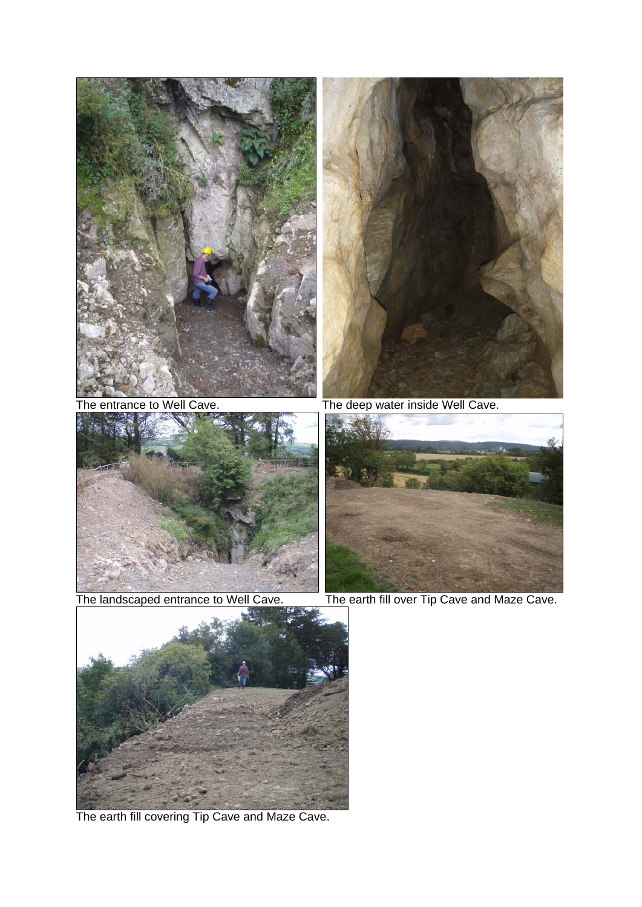





The earth fill covering Tip Cave and Maze Cave.



The entrance to Well Cave. The deep water inside Well Cave.



The landscaped entrance to Well Cave. The earth fill over Tip Cave and Maze Cave.